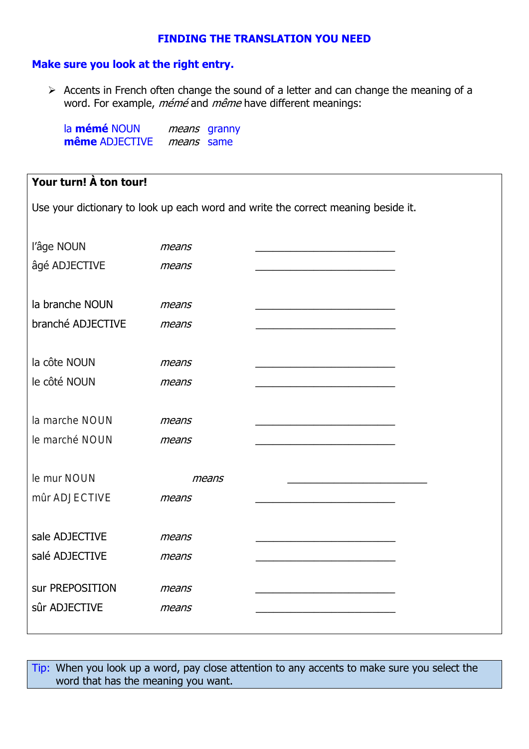## **FINDING THE TRANSLATION YOU NEED**

## Make sure you look at the right entry.

> Accents in French often change the sound of a letter and can change the meaning of a word. For example, mémé and même have different meanings:

la mémé NOUN means granny même ADJECTIVE means same

## Your turn! À ton tour!

Use your dictionary to look up each word and write the correct meaning beside it.

| l'âge NOUN<br>âgé ADJECTIVE          | means<br>means |  |
|--------------------------------------|----------------|--|
| la branche NOUN<br>branché ADJECTIVE | means<br>means |  |
| la côte NOUN<br>le côté NOUN         | means<br>means |  |
| la marche NOUN<br>le marché NOUN     | means<br>means |  |
| le mur NOUN<br>mûr ADJECTIVE         | means<br>means |  |
| sale ADJECTIVE<br>salé ADJECTIVE     | means<br>means |  |
| sur PREPOSITION<br>sûr ADJECTIVE     | means<br>means |  |

Tip: When you look up a word, pay close attention to any accents to make sure you select the word that has the meaning you want.